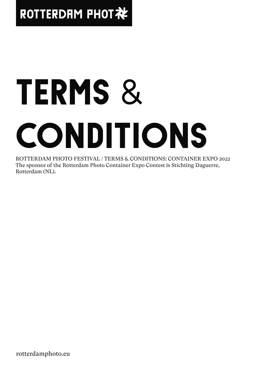# ROTTERDAM PHOT社

# TERMS & CONDITIONS

ROTTERDAM PHOTO FESTIVAL / TERMS & CONDITIONS: CONTAINER EXPO 2022 The sponsor of the Rotterdam Photo Container Expo Contest is Stichting Daguerre, Rotterdam (NL).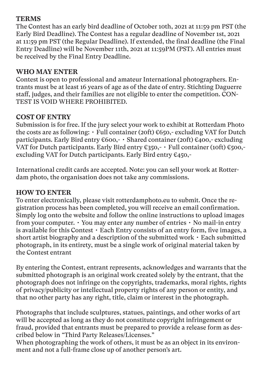#### **TERMS**

The Contest has an early bird deadline of October 10th, 2021 at 11:59 pm PST (the Early Bird Deadline). The Contest has a regular deadline of November 1st, 2021 at 11:59 pm PST (the Regular Deadline). If extended, the final deadline (the Final Entry Deadline) will be November 11th, 2021 at 11:59PM (PST). All entries must be received by the Final Entry Deadline.

#### **WHO MAY ENTER**

Contest is open to professional and amateur International photographers. Entrants must be at least 16 years of age as of the date of entry. Stichting Daguerre staff, judges, and their families are not eligible to enter the competition. CON-TEST IS VOID WHERE PROHIBITED.

#### **COST OF ENTRY**

Submission is for free. If the jury select your work to exhibit at Rotterdam Photo the costs are as following:  $\cdot$  Full container (20ft)  $\epsilon$ 650,- excluding VAT for Dutch participants. Early Bird entry  $€600, -$  · Shared container (20ft)  $€400, -$  excluding VAT for Dutch participants. Early Bird entry  $\xi$ 350,-  $\cdot$  Full container (10ft)  $\xi$ 500,excluding VAT for Dutch participants. Early Bird entry €450,-

International credit cards are accepted. Note: you can sell your work at Rotterdam photo, the organisation does not take any commissions.

#### **HOW TO ENTER**

To enter electronically, please visit rotterdamphoto.eu to submit. Once the registration process has been completed, you will receive an email confirmation. Simply log onto the website and follow the online instructions to upload images from your computer. • You may enter any number of entries • No mail-in entry is available for this Contest • Each Entry consists of an entry form, five images, a short artist biography and a description of the submitted work • Each submitted photograph, in its entirety, must be a single work of original material taken by the Contest entrant

By entering the Contest, entrant represents, acknowledges and warrants that the submitted photograph is an original work created solely by the entrant, that the photograph does not infringe on the copyrights, trademarks, moral rights, rights of privacy/publicity or intellectual property rights of any person or entity, and that no other party has any right, title, claim or interest in the photograph.

Photographs that include sculptures, statues, paintings, and other works of art will be accepted as long as they do not constitute copyright infringement or fraud, provided that entrants must be prepared to provide a release form as described below in "Third Party Releases/Licenses."

When photographing the work of others, it must be as an object in its environment and not a full-frame close up of another person's art.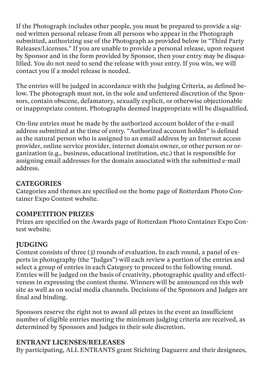If the Photograph includes other people, you must be prepared to provide a signed written personal release from all persons who appear in the Photograph submitted, authorizing use of the Photograph as provided below in "Third Party Releases/Licenses." If you are unable to provide a personal release, upon request by Sponsor and in the form provided by Sponsor, then your entry may be disqualified. You do not need to send the release with your entry. If you win, we will contact you if a model release is needed.

The entries will be judged in accordance with the Judging Criteria, as defined below. The photograph must not, in the sole and unfettered discretion of the Sponsors, contain obscene, defamatory, sexually explicit, or otherwise objectionable or inappropriate content. Photographs deemed inappropriate will be disqualified.

On-line entries must be made by the authorized account holder of the e-mail address submitted at the time of entry. "Authorized account holder" is defined as the natural person who is assigned to an email address by an Internet access provider, online service provider, internet domain owner, or other person or organization (e.g., business, educational institution, etc.) that is responsible for assigning email addresses for the domain associated with the submitted e-mail address.

# **CATEGORIES**

Categories and themes are specified on the home page of Rotterdam Photo Container Expo Contest website.

#### **COMPETITION PRIZES**

Prizes are specified on the Awards page of Rotterdam Photo Container Expo Contest website.

# **JUDGING**

Contest consists of three (3) rounds of evaluation. In each round, a panel of experts in photography (the "Judges") will each review a portion of the entries and select a group of entries in each Category to proceed to the following round. Entries will be judged on the basis of creativity, photographic quality and effectiveness in expressing the contest theme. Winners will be announced on this web site as well as on social media channels. Decisions of the Sponsors and Judges are final and binding.

Sponsors reserve the right not to award all prizes in the event an insufficient number of eligible entries meeting the minimum judging criteria are received, as determined by Sponsors and Judges in their sole discretion.

# **ENTRANT LICENSES/RELEASES**

By participating, ALL ENTRANTS grant Stichting Daguerre and their designees,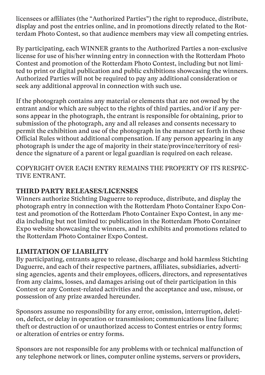licensees or affiliates (the "Authorized Parties") the right to reproduce, distribute, display and post the entries online, and in promotions directly related to the Rotterdam Photo Contest, so that audience members may view all competing entries.

By participating, each WINNER grants to the Authorized Parties a non-exclusive license for use of his/her winning entry in connection with the Rotterdam Photo Contest and promotion of the Rotterdam Photo Contest, including but not limited to print or digital publication and public exhibitions showcasing the winners. Authorized Parties will not be required to pay any additional consideration or seek any additional approval in connection with such use.

If the photograph contains any material or elements that are not owned by the entrant and/or which are subject to the rights of third parties, and/or if any persons appear in the photograph, the entrant is responsible for obtaining, prior to submission of the photograph, any and all releases and consents necessary to permit the exhibition and use of the photograph in the manner set forth in these Official Rules without additional compensation. If any person appearing in any photograph is under the age of majority in their state/province/territory of residence the signature of a parent or legal guardian is required on each release.

COPYRIGHT OVER EACH ENTRY REMAINS THE PROPERTY OF ITS RESPEC-TIVE ENTRANT.

#### **THIRD PARTY RELEASES/LICENSES**

Winners authorize Stichting Daguerre to reproduce, distribute, and display the photograph entry in connection with the Rotterdam Photo Container Expo Contest and promotion of the Rotterdam Photo Container Expo Contest, in any media including but not limited to: publication in the Rotterdam Photo Container Expo website showcasing the winners, and in exhibits and promotions related to the Rotterdam Photo Container Expo Contest.

# **LIMITATION OF LIABILITY**

By participating, entrants agree to release, discharge and hold harmless Stichting Daguerre, and each of their respective partners, affiliates, subsidiaries, advertising agencies, agents and their employees, officers, directors, and representatives from any claims, losses, and damages arising out of their participation in this Contest or any Contest-related activities and the acceptance and use, misuse, or possession of any prize awarded hereunder.

Sponsors assume no responsibility for any error, omission, interruption, deletion, defect, or delay in operation or transmission; communications line failure; theft or destruction of or unauthorized access to Contest entries or entry forms; or alteration of entries or entry forms.

Sponsors are not responsible for any problems with or technical malfunction of any telephone network or lines, computer online systems, servers or providers,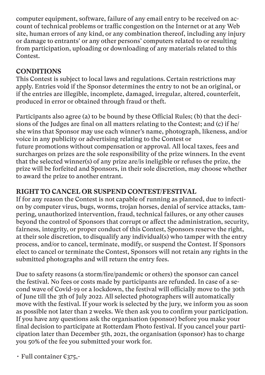computer equipment, software, failure of any email entry to be received on account of technical problems or traffic congestion on the Internet or at any Web site, human errors of any kind, or any combination thereof, including any injury or damage to entrants' or any other persons' computers related to or resulting from participation, uploading or downloading of any materials related to this Contest.

# **CONDITIONS**

This Contest is subject to local laws and regulations. Certain restrictions may apply. Entries void if the Sponsor determines the entry to not be an original, or if the entries are illegible, incomplete, damaged, irregular, altered, counterfeit, produced in error or obtained through fraud or theft.

Participants also agree (a) to be bound by these Official Rules; (b) that the decisions of the Judges are final on all matters relating to the Contest; and (c) if he/ she wins that Sponsor may use each winner's name, photograph, likeness, and/or voice in any publicity or advertising relating to the Contest or future promotions without compensation or approval. All local taxes, fees and surcharges on prizes are the sole responsibility of the prize winners. In the event that the selected winner(s) of any prize are/is ineligible or refuses the prize, the prize will be forfeited and Sponsors, in their sole discretion, may choose whether to award the prize to another entrant.

# **RIGHT TO CANCEL OR SUSPEND CONTEST/FESTIVAL**

If for any reason the Contest is not capable of running as planned, due to infection by computer virus, bugs, worms, trojan horses, denial of service attacks, tampering, unauthorized intervention, fraud, technical failures, or any other causes beyond the control of Sponsors that corrupt or affect the administration, security, fairness, integrity, or proper conduct of this Contest, Sponsors reserve the right, at their sole discretion, to disqualify any individual(s) who tamper with the entry process, and/or to cancel, terminate, modify, or suspend the Contest. If Sponsors elect to cancel or terminate the Contest, Sponsors will not retain any rights in the submitted photographs and will return the entry fees.

Due to safety reasons (a storm/fire/pandemic or others) the sponsor can cancel the festival. No fees or costs made by participants are refunded. In case of a second wave of Covid-19 or a lockdown, the festival will officially move to the 30th of June till the 3th of July 2022. All selected photographers will automatically move with the festival. If your work is selected by the jury, we inform you as soon as possible not later than 2 weeks. We then ask you to confirm your participation. If you have any questions ask the organisation (sponsor) before you make your final decision to participate at Rotterdam Photo festival. If you cancel your participation later than December 5th, 2021, the organisation (sponsor) has to charge you 50% of the fee you submitted your work for.

• Full container  $\epsilon$ 375,-